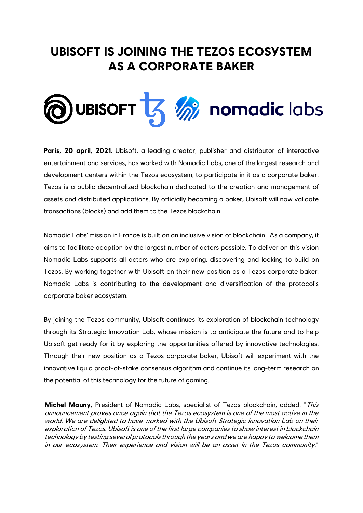# **UBISOFT IS JOINING THE TEZOS ECOSYSTEM AS A CORPORATE BAKER**



**Paris, 20 april, 2021.** Ubisoft, a leading creator, publisher and distributor of interactive entertainment and services, has worked with Nomadic Labs, one of the largest research and development centers within the Tezos ecosystem, to participate in it as a corporate baker. Tezos is a public decentralized blockchain dedicated to the creation and management of assets and distributed applications. By officially becoming a baker, Ubisoft will now validate transactions (blocks) and add them to the Tezos blockchain.

Nomadic Labs' mission in France is built on an inclusive vision of blockchain. As a company, it aims to facilitate adoption by the largest number of actors possible. To deliver on this vision Nomadic Labs supports all actors who are exploring, discovering and looking to build on Tezos. By working together with Ubisoft on their new position as a Tezos corporate baker, Nomadic Labs is contributing to the development and diversification of the protocol's corporate baker ecosystem.

By joining the Tezos community, Ubisoft continues its exploration of blockchain technology through its Strategic Innovation Lab, whose mission is to anticipate the future and to help Ubisoft get ready for it by exploring the opportunities offered by innovative technologies. Through their new position as a Tezos corporate baker, Ubisoft will experiment with the innovative liquid proof-of-stake consensus algorithm and continue its long-term research on the potential of this technology for the future of gaming.

**Michel Mauny,** President of Nomadic Labs, specialist of Tezos blockchain, added: "This announcement proves once again that the Tezos ecosystem is one of the most active in the world. We are delighted to have worked with the Ubisoft Strategic Innovation Lab on their exploration of Tezos. Ubisoft is one of the first large companies to show interest in blockchain technology by testing several protocols through the years and we are happy to welcome them in our ecosystem. Their experience and vision will be an asset in the Tezos community."